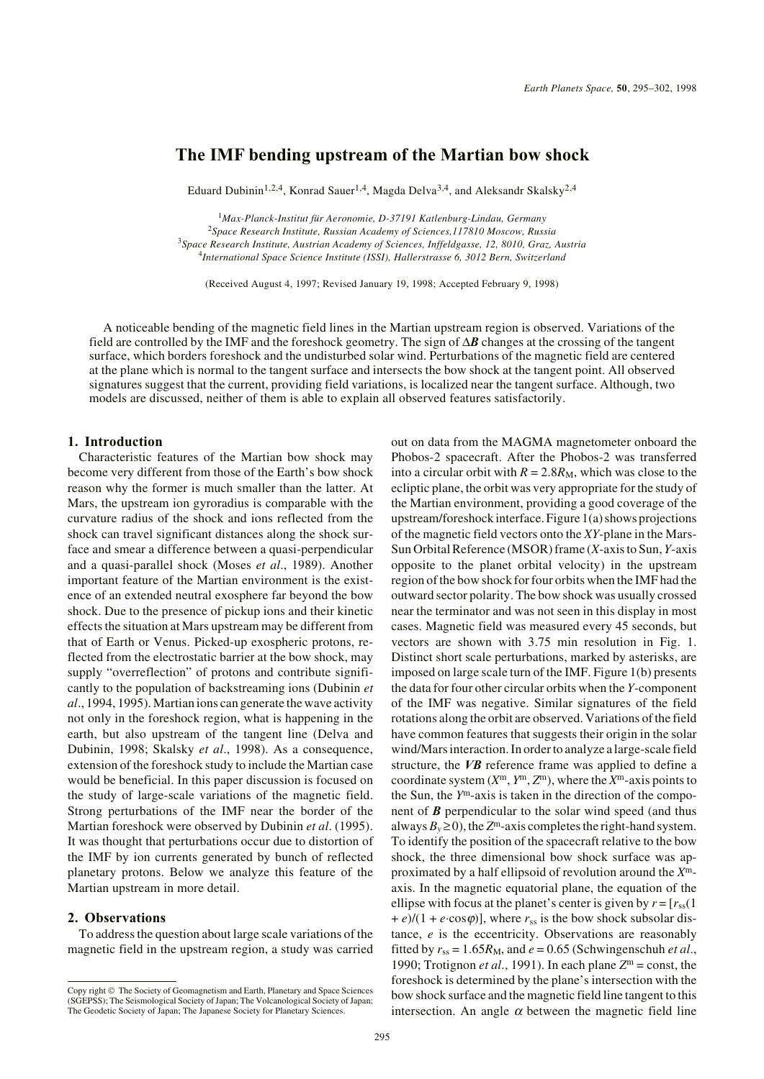# **The IMF bending upstream of the Martian bow shock**

Eduard Dubinin<sup>1,2,4</sup>, Konrad Sauer<sup>1,4</sup>, Magda Delva<sup>3,4</sup>, and Aleksandr Skalsky<sup>2,4</sup>

*Max-Planck-Institut für Aeronomie, D-37191 Katlenburg-Lindau, Germany Space Research Institute, Russian Academy of Sciences,117810 Moscow, Russia Space Research Institute, Austrian Academy of Sciences, Inffeldgasse, 12, 8010, Graz, Austria International Space Science Institute (ISSI), Hallerstrasse 6, 3012 Bern, Switzerland*

(Received August 4, 1997; Revised January 19, 1998; Accepted February 9, 1998)

A noticeable bending of the magnetic field lines in the Martian upstream region is observed. Variations of the field are controlled by the IMF and the foreshock geometry. The sign of Δ*B* changes at the crossing of the tangent surface, which borders foreshock and the undisturbed solar wind. Perturbations of the magnetic field are centered at the plane which is normal to the tangent surface and intersects the bow shock at the tangent point. All observed signatures suggest that the current, providing field variations, is localized near the tangent surface. Although, two models are discussed, neither of them is able to explain all observed features satisfactorily.

### **1. Introduction**

Characteristic features of the Martian bow shock may become very different from those of the Earth's bow shock reason why the former is much smaller than the latter. At Mars, the upstream ion gyroradius is comparable with the curvature radius of the shock and ions reflected from the shock can travel significant distances along the shock surface and smear a difference between a quasi-perpendicular and a quasi-parallel shock (Moses *et al*., 1989). Another important feature of the Martian environment is the existence of an extended neutral exosphere far beyond the bow shock. Due to the presence of pickup ions and their kinetic effects the situation at Mars upstream may be different from that of Earth or Venus. Picked-up exospheric protons, reflected from the electrostatic barrier at the bow shock, may supply "overreflection" of protons and contribute significantly to the population of backstreaming ions (Dubinin *et al*., 1994, 1995). Martian ions can generate the wave activity not only in the foreshock region, what is happening in the earth, but also upstream of the tangent line (Delva and Dubinin, 1998; Skalsky *et al*., 1998). As a consequence, extension of the foreshock study to include the Martian case would be beneficial. In this paper discussion is focused on the study of large-scale variations of the magnetic field. Strong perturbations of the IMF near the border of the Martian foreshock were observed by Dubinin *et al*. (1995). It was thought that perturbations occur due to distortion of the IMF by ion currents generated by bunch of reflected planetary protons. Below we analyze this feature of the Martian upstream in more detail.

## **2. Observations**

To address the question about large scale variations of the magnetic field in the upstream region, a study was carried

out on data from the MAGMA magnetometer onboard the Phobos-2 spacecraft. After the Phobos-2 was transferred into a circular orbit with  $R = 2.8R_M$ , which was close to the ecliptic plane, the orbit was very appropriate for the study of the Martian environment, providing a good coverage of the upstream/foreshock interface. Figure 1(a) shows projections of the magnetic field vectors onto the *XY*-plane in the Mars-Sun Orbital Reference (MSOR) frame (*X*-axis to Sun, *Y*-axis opposite to the planet orbital velocity) in the upstream region of the bow shock for four orbits when the IMF had the outward sector polarity. The bow shock was usually crossed near the terminator and was not seen in this display in most cases. Magnetic field was measured every 45 seconds, but vectors are shown with 3.75 min resolution in Fig. 1. Distinct short scale perturbations, marked by asterisks, are imposed on large scale turn of the IMF. Figure 1(b) presents the data for four other circular orbits when the *Y*-component of the IMF was negative. Similar signatures of the field rotations along the orbit are observed. Variations of the field have common features that suggests their origin in the solar wind/Mars interaction. In order to analyze a large-scale field structure, the *VB* reference frame was applied to define a coordinate system  $(X^m, Y^m, Z^m)$ , where the  $X^m$ -axis points to the Sun, the *Y*m-axis is taken in the direction of the component of *B* perpendicular to the solar wind speed (and thus always  $B_v \ge 0$ , the  $Z^m$ -axis completes the right-hand system. To identify the position of the spacecraft relative to the bow shock, the three dimensional bow shock surface was approximated by a half ellipsoid of revolution around the *X*maxis. In the magnetic equatorial plane, the equation of the ellipse with focus at the planet's center is given by  $r = [r_{ss}(1)]$  $+ e$ )/(1 +  $e$ ·cos $\varphi$ ), where  $r_{ss}$  is the bow shock subsolar distance, *e* is the eccentricity. Observations are reasonably fitted by  $r_{ss} = 1.65R_M$ , and  $e = 0.65$  (Schwingenschuh *et al.*, 1990; Trotignon *et al.*, 1991). In each plane  $Z^m$  = const, the foreshock is determined by the plane's intersection with the bow shock surface and the magnetic field line tangent to this intersection. An angle  $\alpha$  between the magnetic field line

Copy right © The Society of Geomagnetism and Earth, Planetary and Space Sciences (SGEPSS); The Seismological Society of Japan; The Volcanological Society of Japan; The Geodetic Society of Japan; The Japanese Society for Planetary Sciences.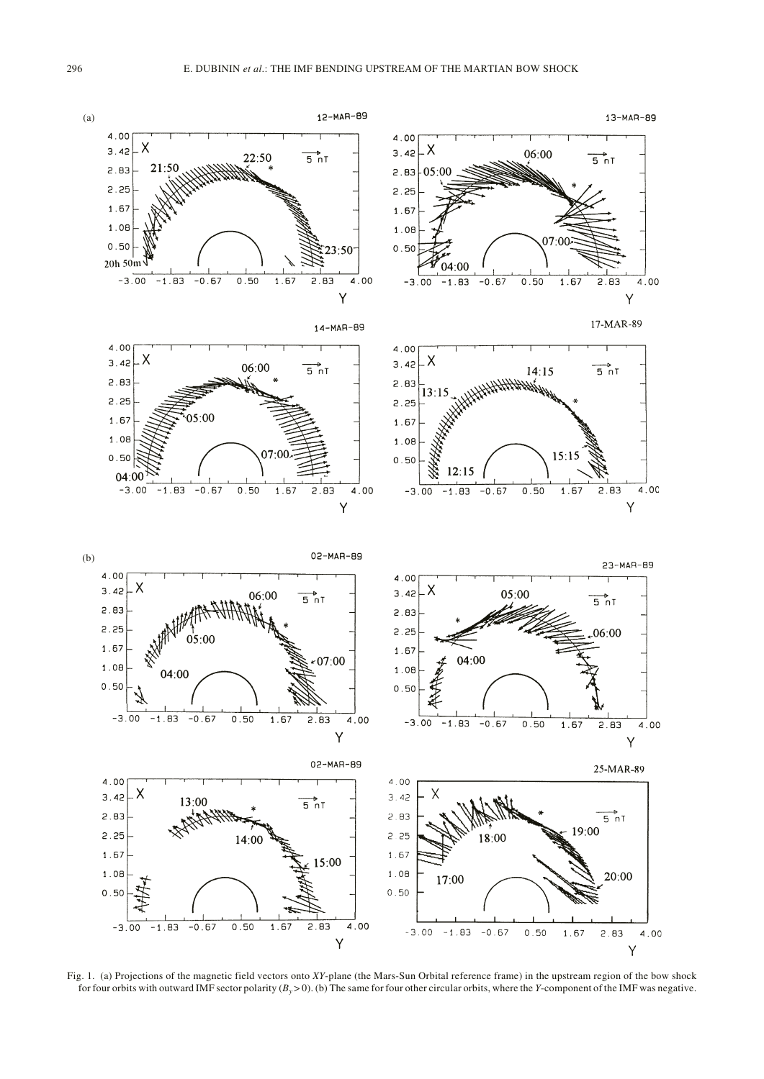

Fig. 1. (a) Projections of the magnetic field vectors onto *XY*-plane (the Mars-Sun Orbital reference frame) in the upstream region of the bow shock for four orbits with outward IMF sector polarity (*By* > 0). (b) The same for four other circular orbits, where the *Y*-component of the IMF was negative.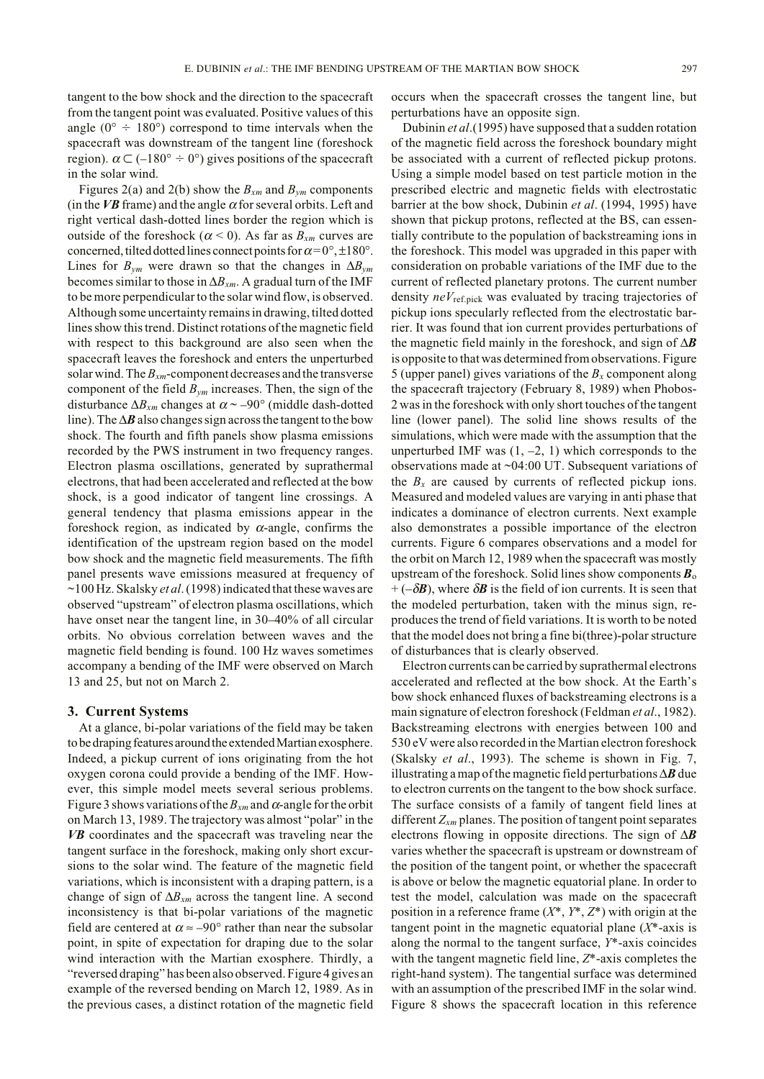tangent to the bow shock and the direction to the spacecraft from the tangent point was evaluated. Positive values of this angle ( $0^{\circ} \div 180^{\circ}$ ) correspond to time intervals when the spacecraft was downstream of the tangent line (foreshock region).  $\alpha \subset (-180^{\circ} \div 0^{\circ})$  gives positions of the spacecraft in the solar wind.

Figures 2(a) and 2(b) show the  $B_{xm}$  and  $B_{ym}$  components (in the *VB* frame) and the angle  $\alpha$  for several orbits. Left and right vertical dash-dotted lines border the region which is outside of the foreshock ( $\alpha$  < 0). As far as  $B_{xm}$  curves are concerned, tilted dotted lines connect points for  $\alpha = 0^{\circ}, \pm 180^{\circ}$ . Lines for *Bym* were drawn so that the changes in Δ*Bym* becomes similar to those in Δ*Bxm*. A gradual turn of the IMF to be more perpendicular to the solar wind flow, is observed. Although some uncertainty remains in drawing, tilted dotted lines show this trend. Distinct rotations of the magnetic field with respect to this background are also seen when the spacecraft leaves the foreshock and enters the unperturbed solar wind. The  $B_{xm}$ -component decreases and the transverse component of the field *Bym* increases. Then, the sign of the disturbance  $\Delta B_{xm}$  changes at  $\alpha \sim -90^{\circ}$  (middle dash-dotted line). The  $\Delta B$  also changes sign across the tangent to the bow shock. The fourth and fifth panels show plasma emissions recorded by the PWS instrument in two frequency ranges. Electron plasma oscillations, generated by suprathermal electrons, that had been accelerated and reflected at the bow shock, is a good indicator of tangent line crossings. A general tendency that plasma emissions appear in the foreshock region, as indicated by  $\alpha$ -angle, confirms the identification of the upstream region based on the model bow shock and the magnetic field measurements. The fifth panel presents wave emissions measured at frequency of ~100 Hz. Skalsky *et al*. (1998) indicated that these waves are observed "upstream" of electron plasma oscillations, which have onset near the tangent line, in 30–40% of all circular orbits. No obvious correlation between waves and the magnetic field bending is found. 100 Hz waves sometimes accompany a bending of the IMF were observed on March 13 and 25, but not on March 2.

#### **3. Current Systems**

At a glance, bi-polar variations of the field may be taken to be draping features around the extended Martian exosphere. Indeed, a pickup current of ions originating from the hot oxygen corona could provide a bending of the IMF. However, this simple model meets several serious problems. Figure 3 shows variations of the *Bxm* and α-angle for the orbit on March 13, 1989. The trajectory was almost "polar" in the *VB* coordinates and the spacecraft was traveling near the tangent surface in the foreshock, making only short excursions to the solar wind. The feature of the magnetic field variations, which is inconsistent with a draping pattern, is a change of sign of Δ*Bxm* across the tangent line. A second inconsistency is that bi-polar variations of the magnetic field are centered at  $\alpha \approx -90^{\circ}$  rather than near the subsolar point, in spite of expectation for draping due to the solar wind interaction with the Martian exosphere. Thirdly, a "reversed draping" has been also observed. Figure 4 gives an example of the reversed bending on March 12, 1989. As in the previous cases, a distinct rotation of the magnetic field

occurs when the spacecraft crosses the tangent line, but perturbations have an opposite sign.

Dubinin *et al*.(1995) have supposed that a sudden rotation of the magnetic field across the foreshock boundary might be associated with a current of reflected pickup protons. Using a simple model based on test particle motion in the prescribed electric and magnetic fields with electrostatic barrier at the bow shock, Dubinin *et al*. (1994, 1995) have shown that pickup protons, reflected at the BS, can essentially contribute to the population of backstreaming ions in the foreshock. This model was upgraded in this paper with consideration on probable variations of the IMF due to the current of reflected planetary protons. The current number density *neV*ref.pick was evaluated by tracing trajectories of pickup ions specularly reflected from the electrostatic barrier. It was found that ion current provides perturbations of the magnetic field mainly in the foreshock, and sign of Δ*B* is opposite to that was determined from observations. Figure 5 (upper panel) gives variations of the  $B<sub>x</sub>$  component along the spacecraft trajectory (February 8, 1989) when Phobos-2 was in the foreshock with only short touches of the tangent line (lower panel). The solid line shows results of the simulations, which were made with the assumption that the unperturbed IMF was  $(1, -2, 1)$  which corresponds to the observations made at ~04:00 UT. Subsequent variations of the  $B_x$  are caused by currents of reflected pickup ions. Measured and modeled values are varying in anti phase that indicates a dominance of electron currents. Next example also demonstrates a possible importance of the electron currents. Figure 6 compares observations and a model for the orbit on March 12, 1989 when the spacecraft was mostly upstream of the foreshock. Solid lines show components  $B_0$  $+$  ( $-\delta$ **B**), where  $\delta$ **B** is the field of ion currents. It is seen that the modeled perturbation, taken with the minus sign, reproduces the trend of field variations. It is worth to be noted that the model does not bring a fine bi(three)-polar structure of disturbances that is clearly observed.

Electron currents can be carried by suprathermal electrons accelerated and reflected at the bow shock. At the Earth's bow shock enhanced fluxes of backstreaming electrons is a main signature of electron foreshock (Feldman *et al*., 1982). Backstreaming electrons with energies between 100 and 530 eV were also recorded in the Martian electron foreshock (Skalsky *et al*., 1993). The scheme is shown in Fig. 7, illustrating a map of the magnetic field perturbations Δ*B* due to electron currents on the tangent to the bow shock surface. The surface consists of a family of tangent field lines at different  $Z_{xm}$  planes. The position of tangent point separates electrons flowing in opposite directions. The sign of Δ*B* varies whether the spacecraft is upstream or downstream of the position of the tangent point, or whether the spacecraft is above or below the magnetic equatorial plane. In order to test the model, calculation was made on the spacecraft position in a reference frame (*X*\*, *Y*\*, *Z*\*) with origin at the tangent point in the magnetic equatorial plane (*X*\*-axis is along the normal to the tangent surface, *Y*\*-axis coincides with the tangent magnetic field line, *Z*\*-axis completes the right-hand system). The tangential surface was determined with an assumption of the prescribed IMF in the solar wind. Figure 8 shows the spacecraft location in this reference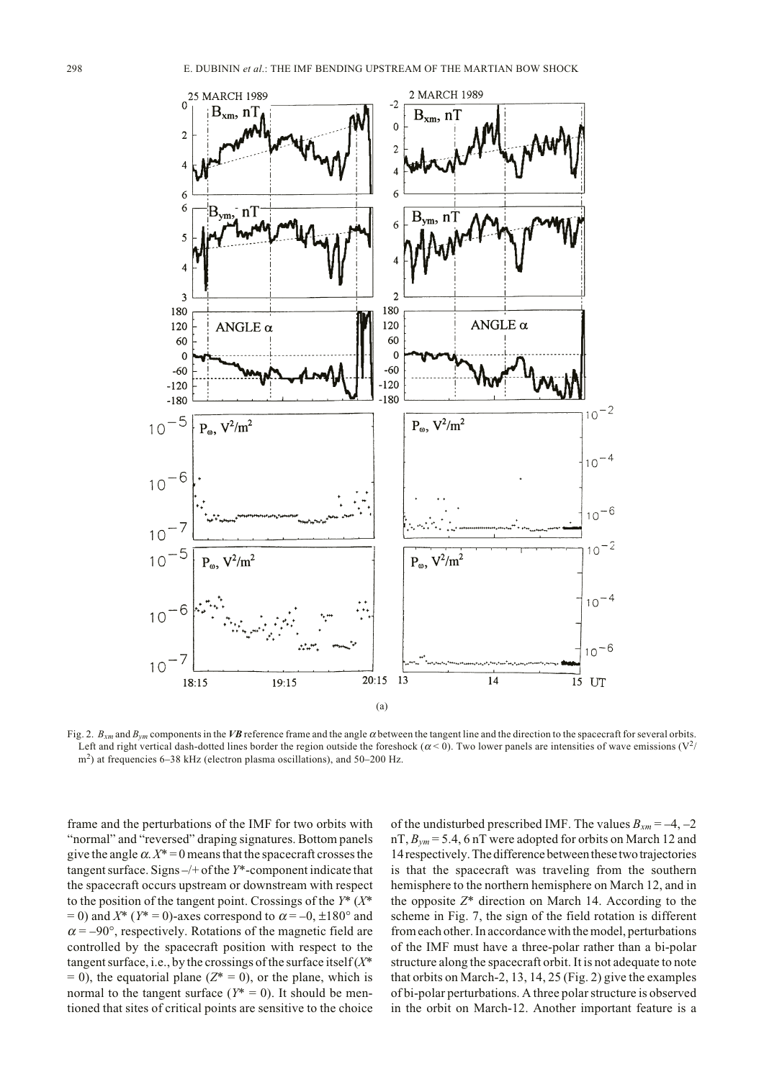

Fig. 2.  $B_{vm}$  and  $B_{vm}$  components in the *VB* reference frame and the angle  $\alpha$  between the tangent line and the direction to the spacecraft for several orbits. Left and right vertical dash-dotted lines border the region outside the foreshock ( $\alpha$  < 0). Two lower panels are intensities of wave emissions ( $V^2$ / m<sup>2</sup>) at frequencies 6–38 kHz (electron plasma oscillations), and 50–200 Hz.

frame and the perturbations of the IMF for two orbits with "normal" and "reversed" draping signatures. Bottom panels give the angle  $\alpha$ .  $X^* = 0$  means that the spacecraft crosses the tangent surface. Signs –/+ of the *Y*\*-component indicate that the spacecraft occurs upstream or downstream with respect to the position of the tangent point. Crossings of the *Y*\* (*X*\*  $= 0$ ) and *X*<sup>\*</sup> (*Y*<sup>\*</sup> = 0)-axes correspond to  $\alpha = -0, \pm 180^{\circ}$  and  $\alpha = -90^{\circ}$ , respectively. Rotations of the magnetic field are controlled by the spacecraft position with respect to the tangent surface, i.e., by the crossings of the surface itself (*X*\*  $= 0$ ), the equatorial plane ( $Z^* = 0$ ), or the plane, which is normal to the tangent surface ( $Y^* = 0$ ). It should be mentioned that sites of critical points are sensitive to the choice of the undisturbed prescribed IMF. The values  $B_{xm} = -4, -2$ nT, *Bym* = 5.4, 6 nT were adopted for orbits on March 12 and 14 respectively. The difference between these two trajectories is that the spacecraft was traveling from the southern hemisphere to the northern hemisphere on March 12, and in the opposite *Z*\* direction on March 14. According to the scheme in Fig. 7, the sign of the field rotation is different from each other. In accordance with the model, perturbations of the IMF must have a three-polar rather than a bi-polar structure along the spacecraft orbit. It is not adequate to note that orbits on March-2, 13, 14, 25 (Fig. 2) give the examples of bi-polar perturbations. A three polar structure is observed in the orbit on March-12. Another important feature is a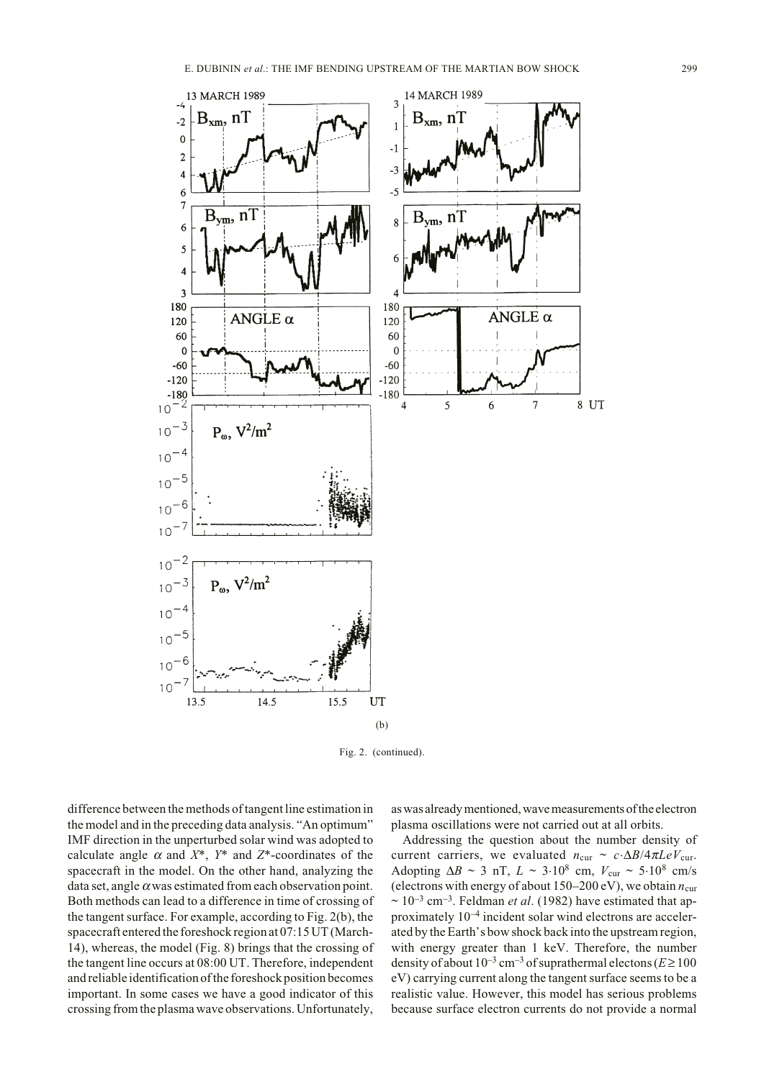

Fig. 2. (continued).

difference between the methods of tangent line estimation in the model and in the preceding data analysis. "An optimum" IMF direction in the unperturbed solar wind was adopted to calculate angle  $\alpha$  and  $X^*$ ,  $Y^*$  and  $Z^*$ -coordinates of the spacecraft in the model. On the other hand, analyzing the data set, angle  $\alpha$  was estimated from each observation point. Both methods can lead to a difference in time of crossing of the tangent surface. For example, according to Fig. 2(b), the spacecraft entered the foreshock region at 07:15 UT (March-14), whereas, the model (Fig. 8) brings that the crossing of the tangent line occurs at 08:00 UT. Therefore, independent and reliable identification of the foreshock position becomes important. In some cases we have a good indicator of this crossing from the plasma wave observations. Unfortunately,

as was already mentioned, wave measurements of the electron plasma oscillations were not carried out at all orbits.

Addressing the question about the number density of current carriers, we evaluated  $n_{\text{cur}} \sim c \cdot \Delta B / 4 \pi L e V_{\text{cur}}$ . Adopting  $\Delta B \sim 3$  nT,  $L \sim 3.10^8$  cm,  $V_{\text{cur}} \sim 5.10^8$  cm/s (electrons with energy of about  $150-200 \text{ eV}$ ), we obtain  $n_{\text{cur}}$  $\sim 10^{-3}$  cm<sup>-3</sup>. Feldman *et al.* (1982) have estimated that approximately 10–4 incident solar wind electrons are accelerated by the Earth's bow shock back into the upstream region, with energy greater than 1 keV. Therefore, the number density of about  $10^{-3}$  cm<sup>-3</sup> of suprathermal electons ( $E \ge 100$ eV) carrying current along the tangent surface seems to be a realistic value. However, this model has serious problems because surface electron currents do not provide a normal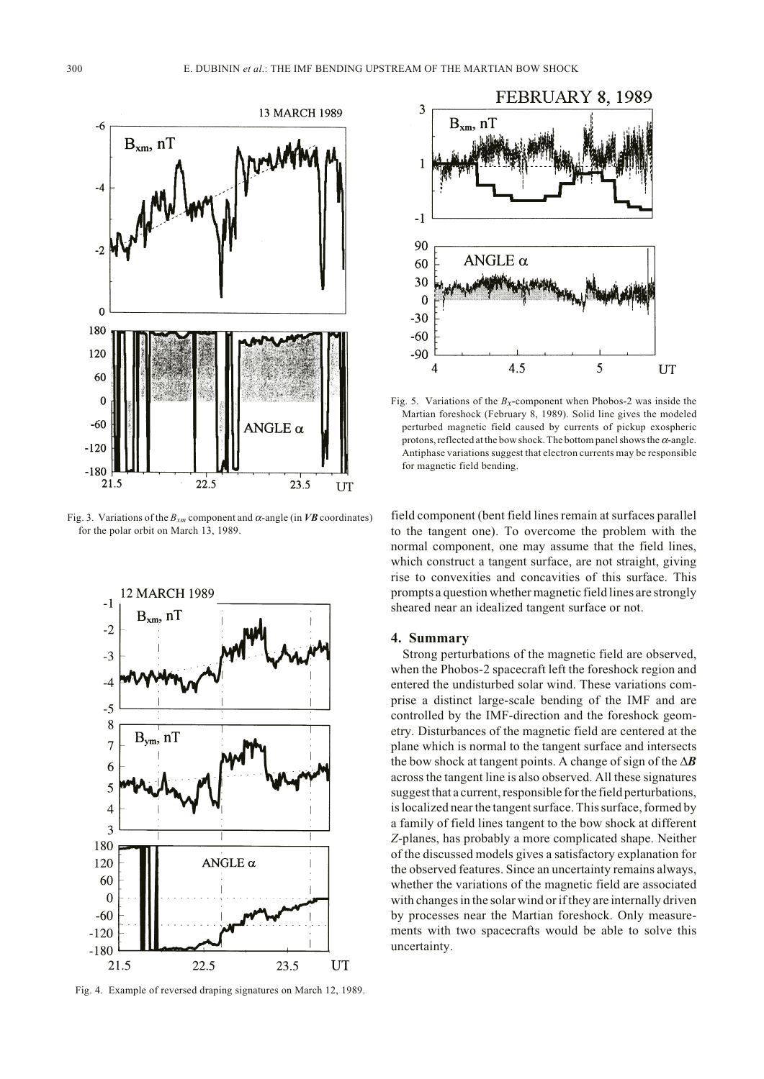

Fig. 3. Variations of the  $B_{xm}$  component and  $\alpha$ -angle (in *VB* coordinates) for the polar orbit on March 13, 1989.



Fig. 4. Example of reversed draping signatures on March 12, 1989.



Fig. 5. Variations of the  $B_x$ -component when Phobos-2 was inside the Martian foreshock (February 8, 1989). Solid line gives the modeled perturbed magnetic field caused by currents of pickup exospheric protons, reflected at the bow shock. The bottom panel shows the  $\alpha$ -angle. Antiphase variations suggest that electron currents may be responsible for magnetic field bending.

field component (bent field lines remain at surfaces parallel to the tangent one). To overcome the problem with the normal component, one may assume that the field lines, which construct a tangent surface, are not straight, giving rise to convexities and concavities of this surface. This prompts a question whether magnetic field lines are strongly sheared near an idealized tangent surface or not.

### **4. Summary**

Strong perturbations of the magnetic field are observed, when the Phobos-2 spacecraft left the foreshock region and entered the undisturbed solar wind. These variations comprise a distinct large-scale bending of the IMF and are controlled by the IMF-direction and the foreshock geometry. Disturbances of the magnetic field are centered at the plane which is normal to the tangent surface and intersects the bow shock at tangent points. A change of sign of the Δ*B* across the tangent line is also observed. All these signatures suggest that a current, responsible for the field perturbations, is localized near the tangent surface. This surface, formed by a family of field lines tangent to the bow shock at different *Z*-planes, has probably a more complicated shape. Neither of the discussed models gives a satisfactory explanation for the observed features. Since an uncertainty remains always, whether the variations of the magnetic field are associated with changes in the solar wind or if they are internally driven by processes near the Martian foreshock. Only measurements with two spacecrafts would be able to solve this uncertainty.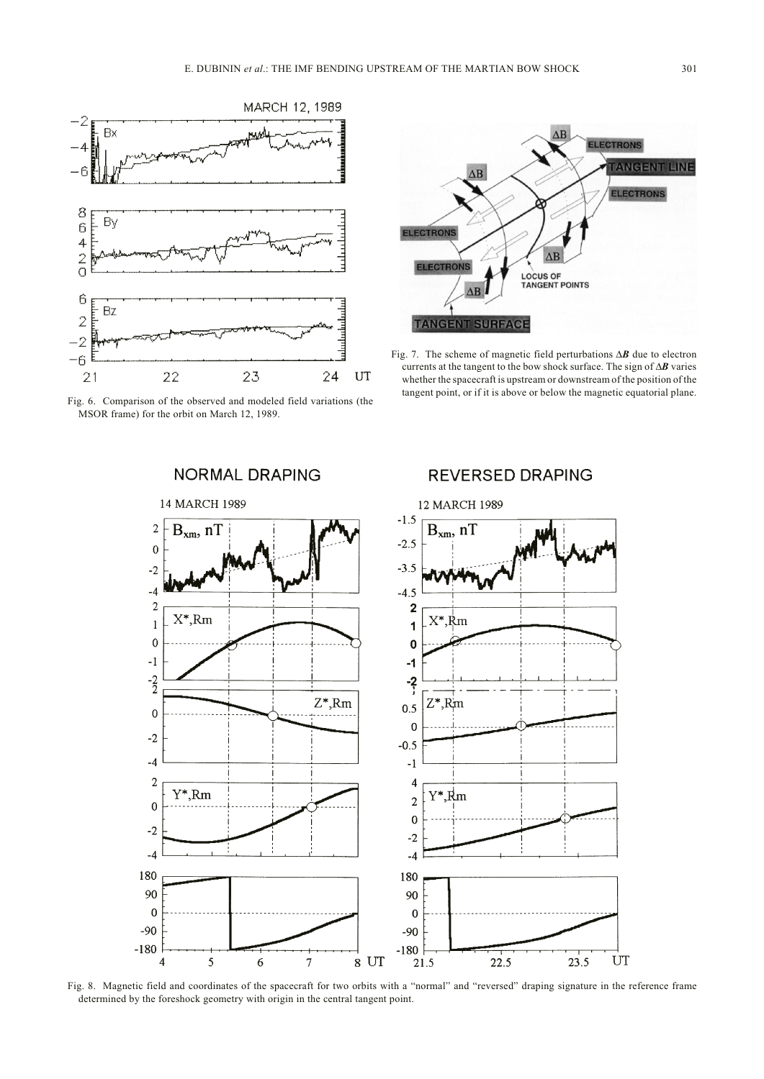

Fig. 6. Comparison of the observed and modeled field variations (the MSOR frame) for the orbit on March 12, 1989.

**NORMAL DRAPING** 



Fig. 7. The scheme of magnetic field perturbations Δ*B* due to electron currents at the tangent to the bow shock surface. The sign of Δ*B* varies whether the spacecraft is upstream or downstream of the position of the tangent point, or if it is above or below the magnetic equatorial plane.



Fig. 8. Magnetic field and coordinates of the spacecraft for two orbits with a "normal" and "reversed" draping signature in the reference frame determined by the foreshock geometry with origin in the central tangent point.

# **REVERSED DRAPING**